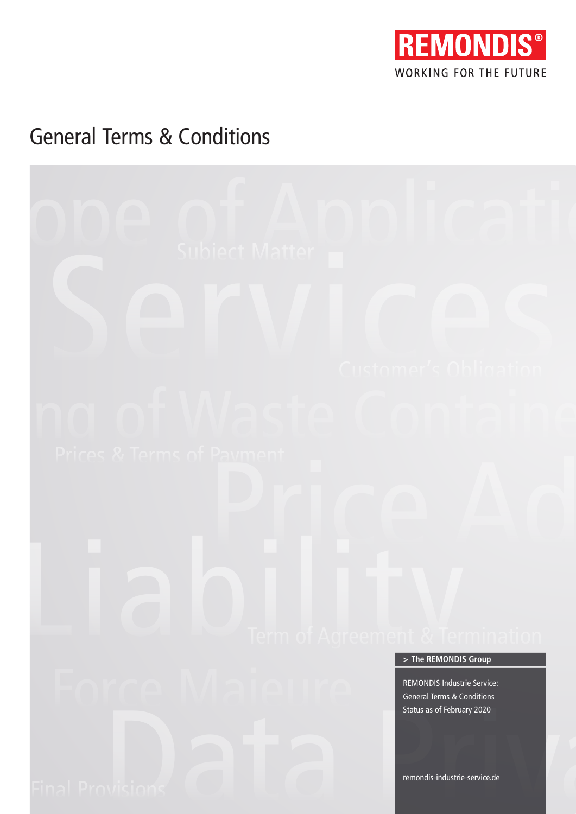

# General Terms & Conditions

# ODE of Application Subject Matter Customer's Obligation Frices & Terms of Payment<br>
Prices & Terms of Payment<br>
Price Adjustment Reserved Adjustment Reserved Price Adjustment Reserved Price Adjustment Reserved Price Price Price Adjustment Price Price Price Price Price Price Price Final Provisions<br>Final Provisions Data Provisions Data Provisions Data Provisions Data Provisions<br>Provisions Data Provisions Data Provisions Data Provisions Data Provisions Data Provisions Data Provisions Data Provisions D remondis-industrie-service.de REMONDIS Industrie Service: General Terms & Conditions Status as of February 2020 **> The REMONDIS Group**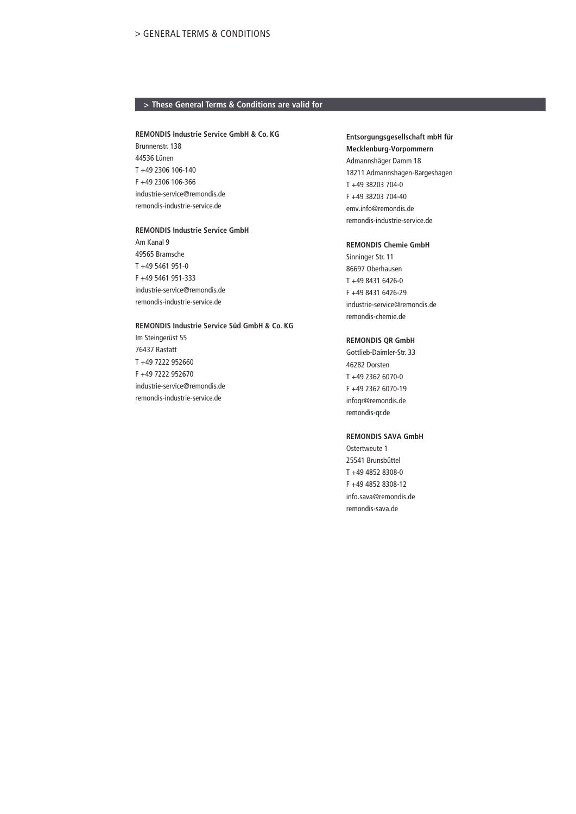# **> These General Terms & Conditions are valid for**

### **REMONDIS Industrie Service GmbH & Co. KG**

Brunnenstr. 138 44536 Lünen T +49 2306 106-140 F +49 2306 106-366 industrie-service@remondis.de remondis-industrie-service.de

#### **REMONDIS Industrie Service GmbH**

Am Kanal 9 49565 Bramsche T +49 5461 951-0 F +49 5461 951-333 industrie-service@remondis.de remondis-industrie-service.de

# **REMONDIS Industrie Service Süd GmbH & Co. KG**

Im Steingerüst 55 76437 Rastatt T +49 7222 952660 F +49 7222 952670 industrie-service@remondis.de remondis-industrie-service.de

# **Entsorgungsgesellschaft mbH für Mecklenburg-Vorpommern**  Admannshäger Damm 18

18211 Admannshagen-Bargeshagen T +49 38203 704-0 F +49 38203 704-40 emv.info@remondis.de remondis-industrie-service.de

#### **REMONDIS Chemie GmbH**

Sinninger Str. 11 86697 Oberhausen T +49 8431 6426-0 F +49 8431 6426-29 industrie-service@remondis.de remondis-chemie.de

# **REMONDIS QR GmbH**

Gottlieb-Daimler-Str. 33 46282 Dorsten T +49 2362 6070-0 F +49 2362 6070-19 infoqr@remondis.de remondis-qr.de

#### **REMONDIS SAVA GmbH**

Ostertweute 1 25541 Brunsbüttel T +49 4852 8308-0 F +49 4852 8308-12 info.sava@remondis.de remondis-sava.de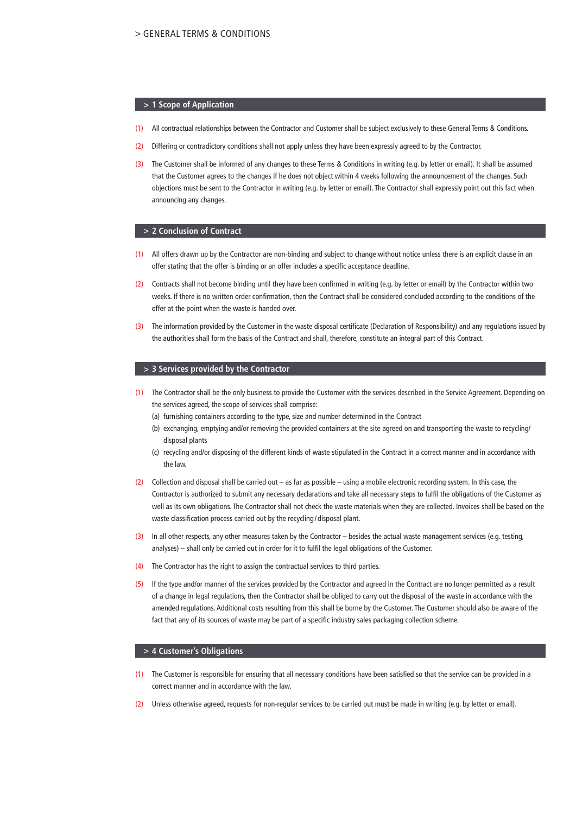#### **> 1 Scope of Application**

- (1) All contractual relationships between the Contractor and Customer shall be subject exclusively to these General Terms & Conditions.
- Differing or contradictory conditions shall not apply unless they have been expressly agreed to by the Contractor.
- (3) The Customer shall be informed of any changes to these Terms & Conditions in writing (e.g. by letter or email). It shall be assumed that the Customer agrees to the changes if he does not object within 4 weeks following the announcement of the changes. Such objections must be sent to the Contractor in writing (e.g. by letter or email). The Contractor shall expressly point out this fact when announcing any changes.

#### **> 2 Conclusion of Contract**

- (1) All offers drawn up by the Contractor are non-binding and subject to change without notice unless there is an explicit clause in an offer stating that the offer is binding or an offer includes a specific acceptance deadline.
- (2) Contracts shall not become binding until they have been confirmed in writing (e.g. by letter or email) by the Contractor within two weeks. If there is no written order confirmation, then the Contract shall be considered concluded according to the conditions of the offer at the point when the waste is handed over.
- (3) The information provided by the Customer in the waste disposal certificate (Declaration of Responsibility) and any regulations issued by the authorities shall form the basis of the Contract and shall, therefore, constitute an integral part of this Contract.

#### **> 3 Services provided by the Contractor**

- (1) The Contractor shall be the only business to provide the Customer with the services described in the Service Agreement. Depending on the services agreed, the scope of services shall comprise:
	- (a) furnishing containers according to the type, size and number determined in the Contract
	- (b) exchanging, emptying and/or removing the provided containers at the site agreed on and transporting the waste to recycling/ disposal plants
	- (c) recycling and/or disposing of the different kinds of waste stipulated in the Contract in a correct manner and in accordance with the law.
- (2) Collection and disposal shall be carried out as far as possible using a mobile electronic recording system. In this case, the Contractor is authorized to submit any necessary declarations and take all necessary steps to fulfil the obligations of the Customer as well as its own obligations. The Contractor shall not check the waste materials when they are collected. Invoices shall be based on the waste classification process carried out by the recycling / disposal plant.
- (3) In all other respects, any other measures taken by the Contractor besides the actual waste management services (e.g. testing, analyses) – shall only be carried out in order for it to fulfil the legal obligations of the Customer.
- (4) The Contractor has the right to assign the contractual services to third parties.
- (5) If the type and/or manner of the services provided by the Contractor and agreed in the Contract are no longer permitted as a result of a change in legal regulations, then the Contractor shall be obliged to carry out the disposal of the waste in accordance with the amended regulations. Additional costs resulting from this shall be borne by the Customer. The Customer should also be aware of the fact that any of its sources of waste may be part of a specific industry sales packaging collection scheme.

#### **> 4 Customer's Obligations**

- (1) The Customer is responsible for ensuring that all necessary conditions have been satisfied so that the service can be provided in a correct manner and in accordance with the law.
- Unless otherwise agreed, requests for non-regular services to be carried out must be made in writing (e.g. by letter or email).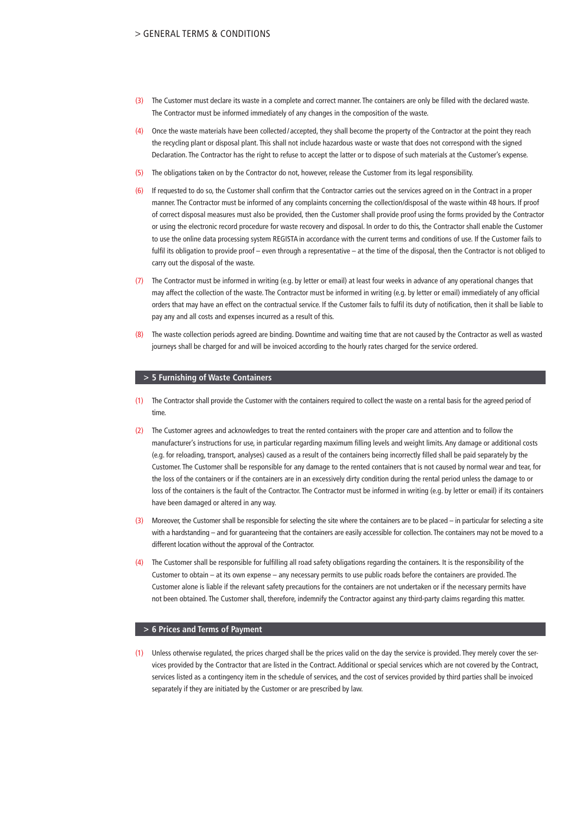# > GENERAL TERMS & CONDITIONS

- (3) The Customer must declare its waste in a complete and correct manner. The containers are only be filled with the declared waste. The Contractor must be informed immediately of any changes in the composition of the waste.
- (4) Once the waste materials have been collected / accepted, they shall become the property of the Contractor at the point they reach the recycling plant or disposal plant. This shall not include hazardous waste or waste that does not correspond with the signed Declaration. The Contractor has the right to refuse to accept the latter or to dispose of such materials at the Customer's expense.
- (5) The obligations taken on by the Contractor do not, however, release the Customer from its legal responsibility.
- (6) If requested to do so, the Customer shall confirm that the Contractor carries out the services agreed on in the Contract in a proper manner. The Contractor must be informed of any complaints concerning the collection/disposal of the waste within 48 hours. If proof of correct disposal measures must also be provided, then the Customer shall provide proof using the forms provided by the Contractor or using the electronic record procedure for waste recovery and disposal. In order to do this, the Contractor shall enable the Customer to use the online data processing system REGISTAin accordance with the current terms and conditions of use. If the Customer fails to fulfil its obligation to provide proof – even through a representative – at the time of the disposal, then the Contractor is not obliged to carry out the disposal of the waste.
- (7) The Contractor must be informed in writing (e.g. by letter or email) at least four weeks in advance of any operational changes that may affect the collection of the waste. The Contractor must be informed in writing (e.g. by letter or email) immediately of any official orders that may have an effect on the contractual service. If the Customer fails to fulfil its duty of notification, then it shall be liable to pay any and all costs and expenses incurred as a result of this.
- (8) The waste collection periods agreed are binding. Downtime and waiting time that are not caused by the Contractor as well as wasted journeys shall be charged for and will be invoiced according to the hourly rates charged for the service ordered.

#### **> 5 Furnishing of Waste Containers**

- The Contractor shall provide the Customer with the containers required to collect the waste on a rental basis for the agreed period of time.
- (2) The Customer agrees and acknowledges to treat the rented containers with the proper care and attention and to follow the manufacturer's instructions for use, in particular regarding maximum filling levels and weight limits. Any damage or additional costs (e.g. for reloading, transport, analyses) caused as a result of the containers being incorrectly filled shall be paid separately by the Customer. The Customer shall be responsible for any damage to the rented containers that is not caused by normal wear and tear, for the loss of the containers or if the containers are in an excessively dirty condition during the rental period unless the damage to or loss of the containers is the fault of the Contractor. The Contractor must be informed in writing (e.g. by letter or email) if its containers have been damaged or altered in any way.
- (3) Moreover, the Customer shall be responsible for selecting the site where the containers are to be placed in particular for selecting a site with a hardstanding – and for guaranteeing that the containers are easily accessible for collection. The containers may not be moved to a different location without the approval of the Contractor.
- (4) The Customer shall be responsible for fulfilling all road safety obligations regarding the containers. It is the responsibility of the Customer to obtain – at its own expense – any necessary permits to use public roads before the containers are provided. The Customer alone is liable if the relevant safety precautions for the containers are not undertaken or if the necessary permits have not been obtained. The Customer shall, therefore, indemnify the Contractor against any third-party claims regarding this matter.

#### **> 6 Prices and Terms of Payment**

(1) Unless otherwise regulated, the prices charged shall be the prices valid on the day the service is provided. They merely cover the services provided by the Contractor that are listed in the Contract. Additional or special services which are not covered by the Contract, services listed as a contingency item in the schedule of services, and the cost of services provided by third parties shall be invoiced separately if they are initiated by the Customer or are prescribed by law.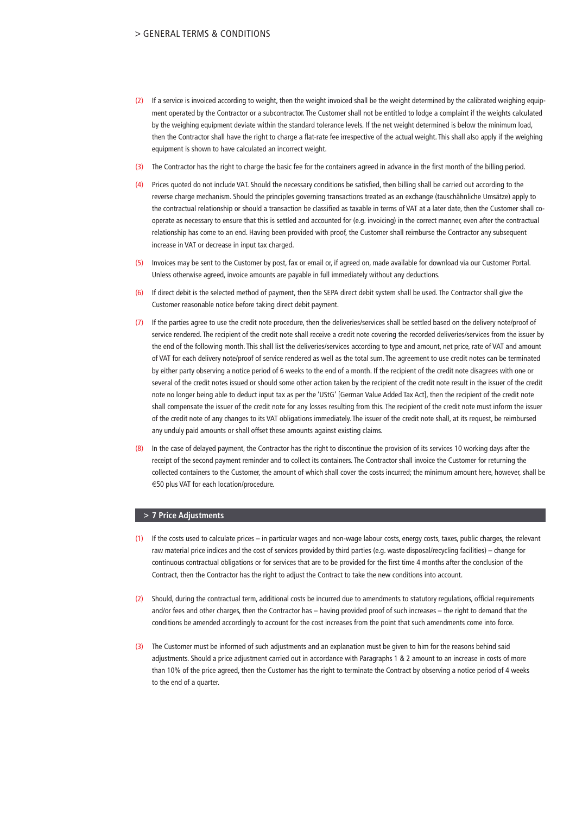# > GENERAL TERMS & CONDITIONS

- (2) If a service is invoiced according to weight, then the weight invoiced shall be the weight determined by the calibrated weighing equipment operated by the Contractor or a subcontractor. The Customer shall not be entitled to lodge a complaint if the weights calculated by the weighing equipment deviate within the standard tolerance levels. If the net weight determined is below the minimum load, then the Contractor shall have the right to charge a flat-rate fee irrespective of the actual weight. This shall also apply if the weighing equipment is shown to have calculated an incorrect weight.
- (3) The Contractor has the right to charge the basic fee for the containers agreed in advance in the first month of the billing period.
- (4) Prices quoted do not include VAT. Should the necessary conditions be satisfied, then billing shall be carried out according to the reverse charge mechanism. Should the principles governing transactions treated as an exchange (tauschähnliche Umsätze) apply to the contractual relationship or should a transaction be classified as taxable in terms of VAT at a later date, then the Customer shall cooperate as necessary to ensure that this is settled and accounted for (e.g. invoicing) in the correct manner, even after the contractual relationship has come to an end. Having been provided with proof, the Customer shall reimburse the Contractor any subsequent increase in VAT or decrease in input tax charged.
- (5) Invoices may be sent to the Customer by post, fax or email or, if agreed on, made available for download via our Customer Portal. Unless otherwise agreed, invoice amounts are payable in full immediately without any deductions.
- (6) If direct debit is the selected method of payment, then the SEPA direct debit system shall be used. The Contractor shall give the Customer reasonable notice before taking direct debit payment.
- If the parties agree to use the credit note procedure, then the deliveries/services shall be settled based on the delivery note/proof of service rendered. The recipient of the credit note shall receive a credit note covering the recorded deliveries/services from the issuer by the end of the following month. This shall list the deliveries/services according to type and amount, net price, rate of VAT and amount of VAT for each delivery note/proof of service rendered as well as the total sum. The agreement to use credit notes can be terminated by either party observing a notice period of 6 weeks to the end of a month. If the recipient of the credit note disagrees with one or several of the credit notes issued or should some other action taken by the recipient of the credit note result in the issuer of the credit note no longer being able to deduct input tax as per the 'UStG' [German Value Added Tax Act], then the recipient of the credit note shall compensate the issuer of the credit note for any losses resulting from this. The recipient of the credit note must inform the issuer of the credit note of any changes to its VAT obligations immediately. The issuer of the credit note shall, at its request, be reimbursed any unduly paid amounts or shall offset these amounts against existing claims.
- (8) In the case of delayed payment, the Contractor has the right to discontinue the provision of its services 10 working days after the receipt of the second payment reminder and to collect its containers. The Contractor shall invoice the Customer for returning the collected containers to the Customer, the amount of which shall cover the costs incurred; the minimum amount here, however, shall be €50 plus VAT for each location/procedure.

#### **> 7 Price Adjustments**

- (1) If the costs used to calculate prices in particular wages and non-wage labour costs, energy costs, taxes, public charges, the relevant raw material price indices and the cost of services provided by third parties (e.g. waste disposal/recycling facilities) – change for continuous contractual obligations or for services that are to be provided for the first time 4 months after the conclusion of the Contract, then the Contractor has the right to adjust the Contract to take the new conditions into account.
- (2) Should, during the contractual term, additional costs be incurred due to amendments to statutory regulations, official requirements and/or fees and other charges, then the Contractor has – having provided proof of such increases – the right to demand that the conditions be amended accordingly to account for the cost increases from the point that such amendments come into force.
- (3) The Customer must be informed of such adjustments and an explanation must be given to him for the reasons behind said adjustments. Should a price adjustment carried out in accordance with Paragraphs 1 & 2 amount to an increase in costs of more than 10% of the price agreed, then the Customer has the right to terminate the Contract by observing a notice period of 4 weeks to the end of a quarter.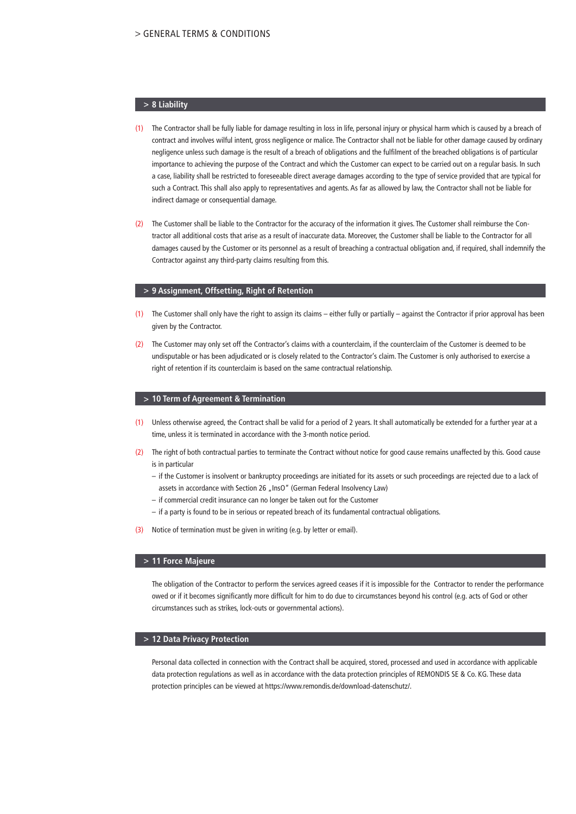# **> 8 Liability**

- (1) The Contractor shall be fully liable for damage resulting in loss in life, personal injury or physical harm which is caused by a breach of contract and involves wilful intent, gross negligence or malice. The Contractor shall not be liable for other damage caused by ordinary negligence unless such damage is the result of a breach of obligations and the fulfilment of the breached obligations is of particular importance to achieving the purpose of the Contract and which the Customer can expect to be carried out on a regular basis. In such a case, liability shall be restricted to foreseeable direct average damages according to the type of service provided that are typical for such a Contract. This shall also apply to representatives and agents. As far as allowed by law, the Contractor shall not be liable for indirect damage or consequential damage.
- (2) The Customer shall be liable to the Contractor for the accuracy of the information it gives. The Customer shall reimburse the Contractor all additional costs that arise as a result of inaccurate data. Moreover, the Customer shall be liable to the Contractor for all damages caused by the Customer or its personnel as a result of breaching a contractual obligation and, if required, shall indemnify the Contractor against any third-party claims resulting from this.

#### **> 9 Assignment, Offsetting, Right of Retention**

- (1) The Customer shall only have the right to assign its claims either fully or partially against the Contractor if prior approval has been given by the Contractor.
- (2) The Customer may only set off the Contractor's claims with a counterclaim, if the counterclaim of the Customer is deemed to be undisputable or has been adjudicated or is closely related to the Contractor's claim. The Customer is only authorised to exercise a right of retention if its counterclaim is based on the same contractual relationship.

#### **> 10 Term of Agreement & Termination**

- (1) Unless otherwise agreed, the Contract shall be valid for a period of 2 years. It shall automatically be extended for a further year at a time, unless it is terminated in accordance with the 3-month notice period.
- (2) The right of both contractual parties to terminate the Contract without notice for good cause remains unaffected by this. Good cause is in particular
	- if the Customer is insolvent or bankruptcy proceedings are initiated for its assets or such proceedings are rejected due to a lack of assets in accordance with Section 26 "InsO" (German Federal Insolvency Law)
	- if commercial credit insurance can no longer be taken out for the Customer
	- if a party is found to be in serious or repeated breach of its fundamental contractual obligations.
- (3) Notice of termination must be given in writing (e.g. by letter or email).

#### **> 11 Force Majeure**

 The obligation of the Contractor to perform the services agreed ceases if it is impossible for the Contractor to render the performance owed or if it becomes significantly more difficult for him to do due to circumstances beyond his control (e.g. acts of God or other circumstances such as strikes, lock-outs or governmental actions).

#### **> 12 Data Privacy Protection**

 Personal data collected in connection with the Contract shall be acquired, stored, processed and used in accordance with applicable data protection regulations as well as in accordance with the data protection principles of REMONDIS SE & Co. KG. These data protection principles can be viewed at https://www.remondis.de/download-datenschutz/.